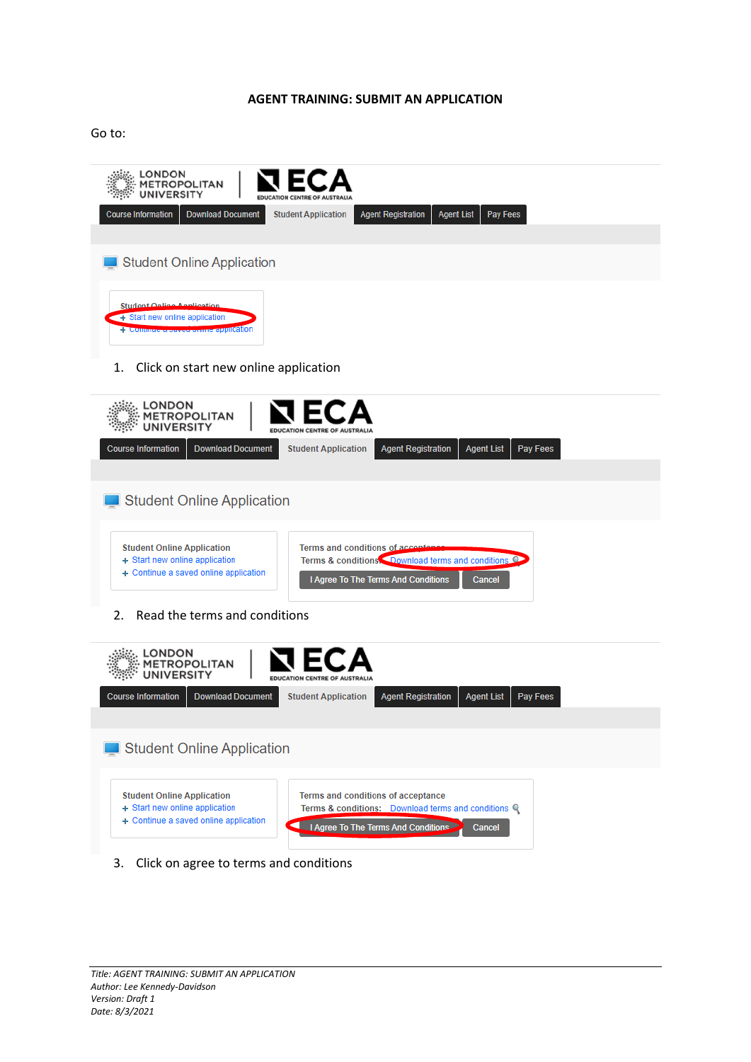## **AGENT TRAINING: SUBMIT AN APPLICATION**

Go to:



| <b>UDUIST INDITIONAL</b>                                            | <b>DUMINAN DUCATION</b>               | <b>JUNGIIL ADDIILUUDII</b> | <b><i>INGHER CHANGE AND LETTER</i></b>                                                                                        | <b><i>TNGHL LISL</i></b> | <b>1 av 1 cco</b> |  |
|---------------------------------------------------------------------|---------------------------------------|----------------------------|-------------------------------------------------------------------------------------------------------------------------------|--------------------------|-------------------|--|
|                                                                     |                                       |                            |                                                                                                                               |                          |                   |  |
|                                                                     | Student Online Application            |                            |                                                                                                                               |                          |                   |  |
| <b>Student Online Application</b><br>+ Start new online application | + Continue a saved online application |                            | Terms and conditions of accontance<br>Terms & conditions Download terms and conditions<br>I Agree To The Terms And Conditions | Cancel                   |                   |  |

2. Read the terms and conditions



3. Click on agree to terms and conditions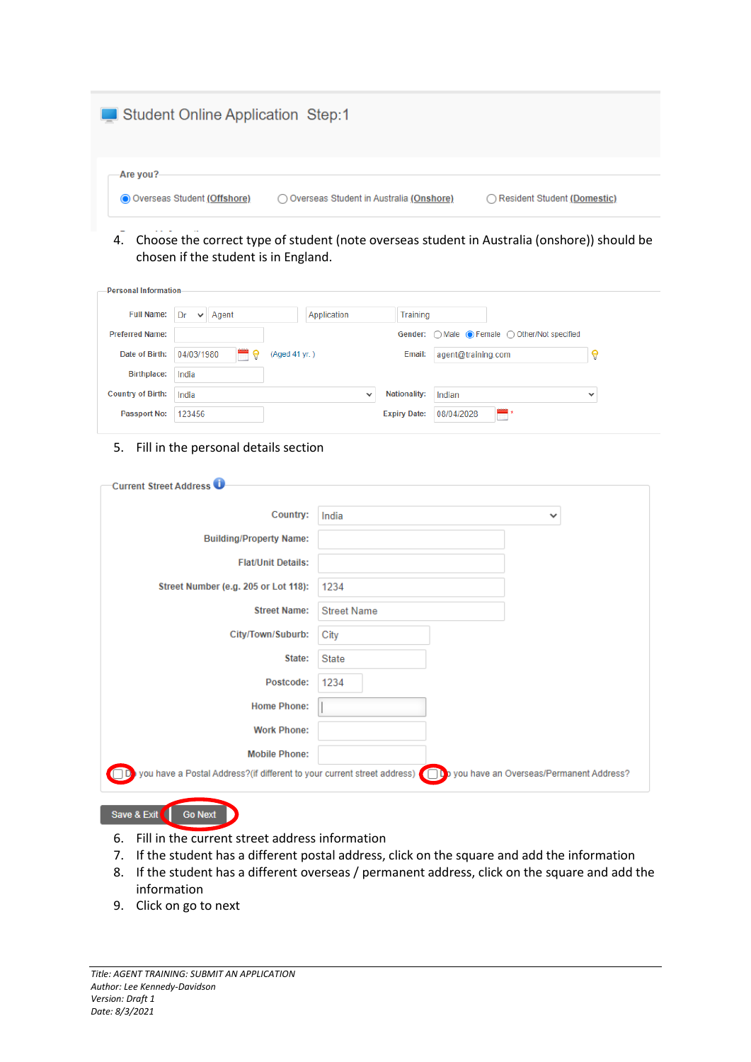| Student Online Application Step:1           |                                           |                               |
|---------------------------------------------|-------------------------------------------|-------------------------------|
| -Are you?-<br>O Overseas Student (Offshore) | O Overseas Student in Australia (Onshore) | ◯ Resident Student (Domestic) |

4. Choose the correct type of student (note overseas student in Australia (onshore)) should be chosen if the student is in England.

| <b>Personal Information-</b> |                             |               |                     |                                               |              |
|------------------------------|-----------------------------|---------------|---------------------|-----------------------------------------------|--------------|
| <b>Full Name:</b>            | Dr<br>Agent<br>$\checkmark$ | Application   | Training            |                                               |              |
| <b>Preferred Name:</b>       |                             |               |                     | Gender: ○ Male ● Female ○ Other/Not specified |              |
| Date of Birth:               | 04/03/1980<br>m.<br>9       | (Aged 41 yr.) | Email:              | agent@training.com                            |              |
| <b>Birthplace:</b>           | India                       |               |                     |                                               |              |
| <b>Country of Birth:</b>     | India                       | $\checkmark$  | <b>Nationality:</b> | Indian                                        | $\checkmark$ |
| <b>Passport No:</b>          | 123456                      |               | <b>Expiry Date:</b> | 08/04/2028<br>m                               |              |

## 5. Fill in the personal details section

| <b>Current Street Address O</b>      |                                                                                                                       |
|--------------------------------------|-----------------------------------------------------------------------------------------------------------------------|
| Country:                             | India<br>$\checkmark$                                                                                                 |
| <b>Building/Property Name:</b>       |                                                                                                                       |
| <b>Flat/Unit Details:</b>            |                                                                                                                       |
| Street Number (e.g. 205 or Lot 118): | 1234                                                                                                                  |
| <b>Street Name:</b>                  | <b>Street Name</b>                                                                                                    |
| City/Town/Suburb:                    | City                                                                                                                  |
| State:                               | <b>State</b>                                                                                                          |
| Postcode:                            | 1234                                                                                                                  |
| <b>Home Phone:</b>                   |                                                                                                                       |
| <b>Work Phone:</b>                   |                                                                                                                       |
| <b>Mobile Phone:</b>                 |                                                                                                                       |
|                                      | you have a Postal Address?(if different to your current street address) (iii) you have an Overseas/Permanent Address? |
|                                      |                                                                                                                       |

Save & Exit Go Next

- 6. Fill in the current street address information
- 7. If the student has a different postal address, click on the square and add the information
- 8. If the student has a different overseas / permanent address, click on the square and add the information
- 9. Click on go to next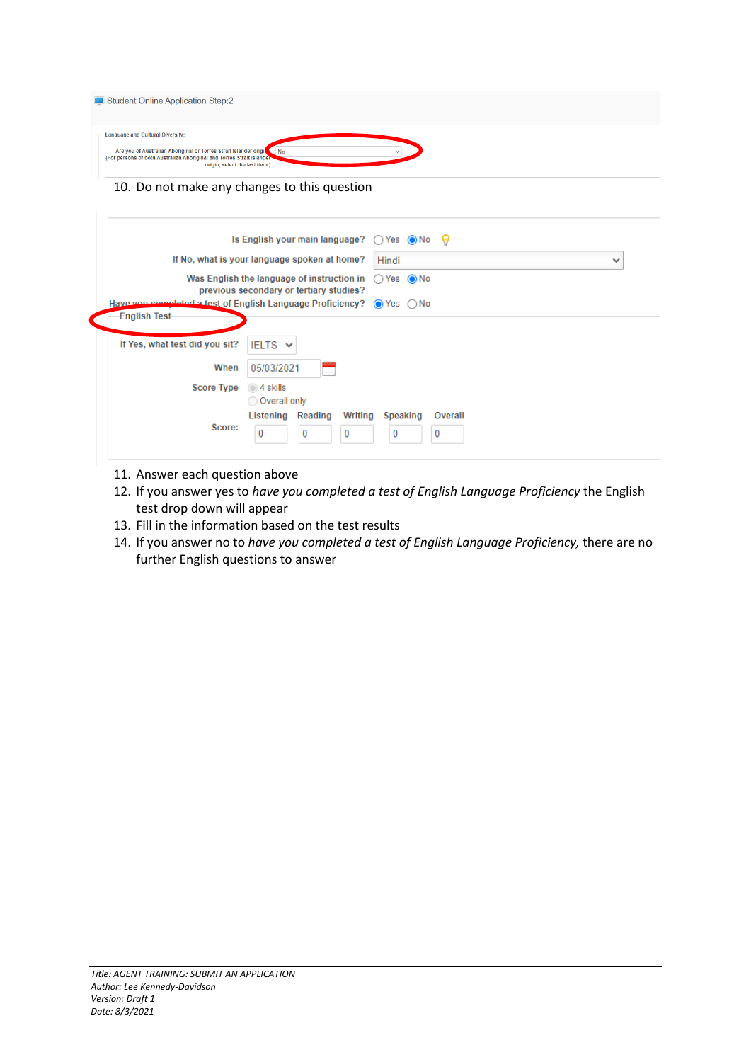| Student Online Application Step: 2                                                                                                                                                                                     |  |
|------------------------------------------------------------------------------------------------------------------------------------------------------------------------------------------------------------------------|--|
| Language and Cultural Diversity:-<br>Are you of Australian Aboriginal or Torres Strait Islander origin & No<br>(For persons of both Australian Aboriginal and Torres Strait Islander<br>origin, select the last item.) |  |
| 10. Do not make any changes to this question                                                                                                                                                                           |  |

|                                | Is English your main language? $\bigcirc$ Yes $\bigcirc$ No $\bigcirc$                                            |
|--------------------------------|-------------------------------------------------------------------------------------------------------------------|
|                                | If No, what is your language spoken at home?<br>Hindi                                                             |
|                                | Was English the language of instruction in $\bigcap$ Yes $\bigcirc$ No<br>previous secondary or tertiary studies? |
|                                | Have you completed a test of English Language Proficiency? $\bigcirc$ Yes $\bigcirc$ No                           |
| <b>English Test-</b>           |                                                                                                                   |
|                                |                                                                                                                   |
| If Yes, what test did you sit? | IELTS $\vee$                                                                                                      |
| When                           | 05/03/2021                                                                                                        |
| <b>Score Type</b>              | $\odot$ 4 skills                                                                                                  |
|                                | O Overall only                                                                                                    |
|                                | Listening Reading<br>Writing<br>Speaking<br>Overall                                                               |
| Score:                         | 0<br>0<br>0<br>0<br>0                                                                                             |

- 11. Answer each question above
- 12. If you answer yes to *have you completed a test of English Language Proficiency* the English test drop down will appear
- 13. Fill in the information based on the test results
- 14. If you answer no to *have you completed a test of English Language Proficiency,* there are no further English questions to answer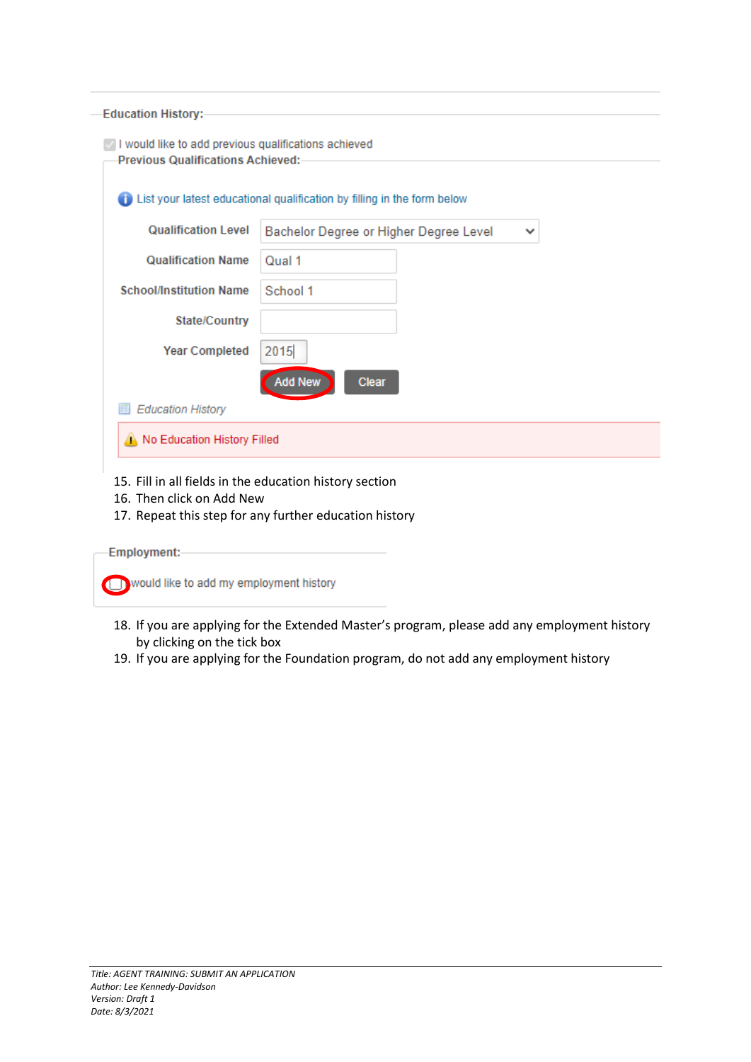| <b>Education History:-</b>                                                                        |                                                                         |
|---------------------------------------------------------------------------------------------------|-------------------------------------------------------------------------|
| I would like to add previous qualifications achieved<br><b>Previous Qualifications Achieved:-</b> |                                                                         |
|                                                                                                   | List your latest educational qualification by filling in the form below |
| <b>Qualification Level</b>                                                                        | Bachelor Degree or Higher Degree Level<br>v                             |
| <b>Qualification Name</b>                                                                         | Qual 1                                                                  |
| <b>School/Institution Name</b>                                                                    | School 1                                                                |
| <b>State/Country</b>                                                                              |                                                                         |
| <b>Year Completed</b>                                                                             | 2015                                                                    |
|                                                                                                   | <b>Add New</b><br><b>Clear</b>                                          |
| <b>Education History</b>                                                                          |                                                                         |
| No Education History Filled                                                                       |                                                                         |

15. Fill in all fields in the education history section

- 16. Then click on Add New
- 17. Repeat this step for any further education history

Employment:-

would like to add my employment history

- 18. If you are applying for the Extended Master's program, please add any employment history by clicking on the tick box
- 19. If you are applying for the Foundation program, do not add any employment history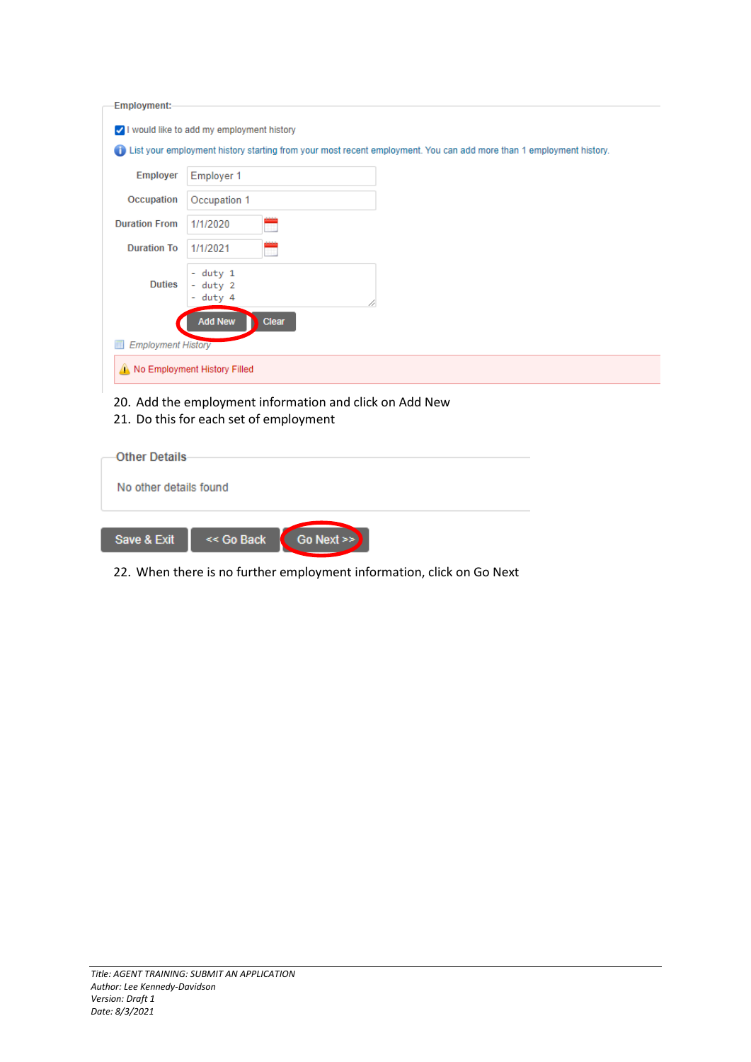| Employment:-                   |                                                                                                                     |
|--------------------------------|---------------------------------------------------------------------------------------------------------------------|
|                                | V I would like to add my employment history                                                                         |
| Œ                              | List your employment history starting from your most recent employment. You can add more than 1 employment history. |
| <b>Employer</b>                | <b>Employer 1</b>                                                                                                   |
| Occupation                     | Occupation 1                                                                                                        |
| <b>Duration From</b>           | 1/1/2020                                                                                                            |
| <b>Duration To</b>             | 1/1/2021<br>Ħ                                                                                                       |
| <b>Duties</b>                  | - duty 1<br>- duty 2<br>- duty 4                                                                                    |
|                                | <b>Add New</b><br><b>Clear</b>                                                                                      |
| <b>Employment History</b><br>Ħ |                                                                                                                     |
|                                | No Employment History Filled                                                                                        |

- 20. Add the employment information and click on Add New
- 21. Do this for each set of employment

| <b>Other Details</b>   |                             |  |
|------------------------|-----------------------------|--|
| No other details found |                             |  |
|                        |                             |  |
| Save & Exit            | << Go Back<br>Go Next $\gg$ |  |
|                        |                             |  |

22. When there is no further employment information, click on Go Next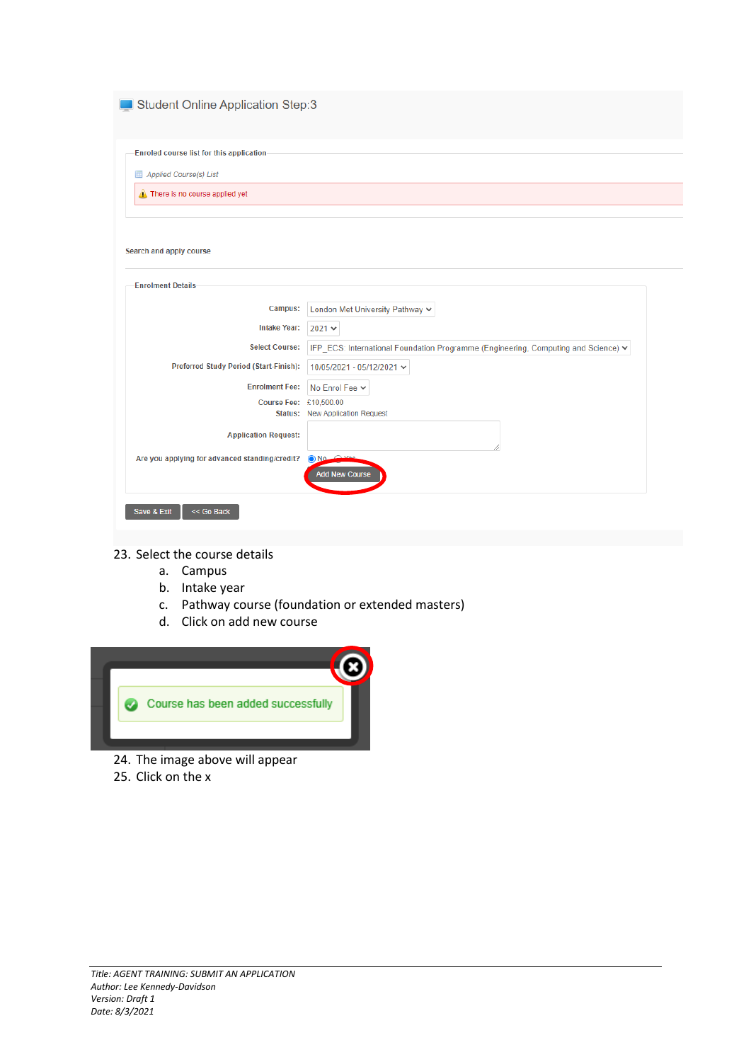| London Met University Pathway V                                                    |
|------------------------------------------------------------------------------------|
|                                                                                    |
| IFP ECS: International Foundation Programme (Engineering, Computing and Science) v |
| 10/05/2021 - 05/12/2021 $\sim$                                                     |
| No Enrol Fee Y                                                                     |
| £10,500.00<br><b>New Application Request</b>                                       |
|                                                                                    |
| OND<br><b>Add New Course</b>                                                       |
|                                                                                    |

- 23. Select the course details
	- a. Campus
	- b. Intake year
	- c. Pathway course (foundation or extended masters)
	- d. Click on add new course



- 24. The image above will appear
- 25. Click on the x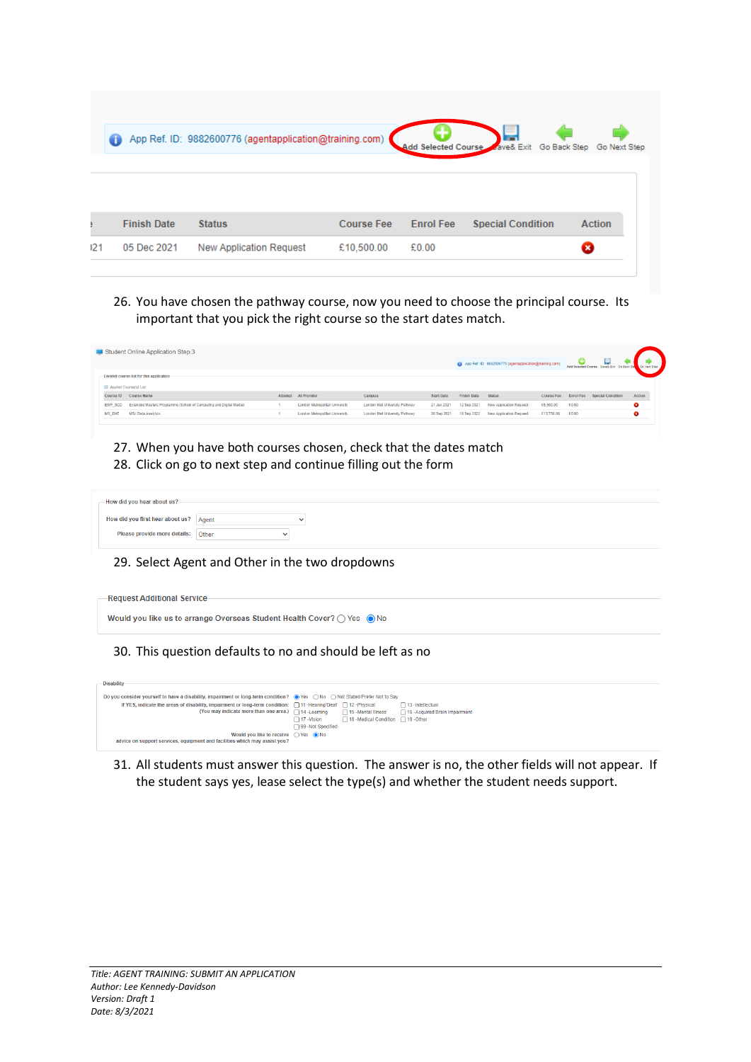|     | Œ                  | App Ref. ID: 9882600776 (agentapplication@training.com) |                   |                  | Add Selected Course Zave& Exit Go Back Step | Go Next Step  |
|-----|--------------------|---------------------------------------------------------|-------------------|------------------|---------------------------------------------|---------------|
|     |                    |                                                         |                   |                  |                                             |               |
|     | <b>Finish Date</b> | <b>Status</b>                                           | <b>Course Fee</b> | <b>Enrol Fee</b> | <b>Special Condition</b>                    | <b>Action</b> |
| 121 | 05 Dec 2021        | <b>New Application Request</b>                          | £10,500.00        | £0.00            |                                             | ø             |

26. You have chosen the pathway course, now you need to choose the principal course. Its important that you pick the right course so the start dates match.

|                | Student Online Application Step:3                                  |                                |                               |             |                    | App Ref. ID: 9882600776 (agentapplication@training.com) |            |       |                                    |        |
|----------------|--------------------------------------------------------------------|--------------------------------|-------------------------------|-------------|--------------------|---------------------------------------------------------|------------|-------|------------------------------------|--------|
|                | -Enroled course list for this application-                         |                                |                               |             |                    |                                                         |            |       |                                    |        |
|                | Applied Course(s) List                                             |                                |                               |             |                    |                                                         |            |       |                                    |        |
|                | Course ID Course Name                                              | Attempt At Provider            | Campus                        | Start Date  | <b>Finish Date</b> | Status                                                  | Course Fee |       | <b>Enrol Fee Special Condition</b> | Action |
| <b>EMP SCD</b> | Extended Masters Programme (School of Computing and Digital Media) | London Metropolitan University | London Met University Pathway | 21 Jun 2021 |                    | 12 Sep 2021 New Application Request                     | £5,500.00  | £0.00 |                                    | ø      |
| <b>MS DAT</b>  | MSc Data Analytics                                                 | London Metropolitan University | London Met University Pathway | 20 Sep 2021 | 18 Sep 2022        | New Application Request                                 | €13.750.00 | £0.00 |                                    | ø      |
|                |                                                                    |                                |                               |             |                    |                                                         |            |       |                                    |        |

27. When you have both courses chosen, check that the dates match 28. Click on go to next step and continue filling out the form

| -How did you hear about us?-           |                |
|----------------------------------------|----------------|
| How did you first hear about us? Agent | ີ              |
| Please provide more details: Other     | $\overline{a}$ |

## 29. Select Agent and Other in the two dropdowns



30. This question defaults to no and should be left as no

|                                                                            |                                                                                                                      | $\Box$ 13 -intellectual                                                                                                                                                                                                                      |  |
|----------------------------------------------------------------------------|----------------------------------------------------------------------------------------------------------------------|----------------------------------------------------------------------------------------------------------------------------------------------------------------------------------------------------------------------------------------------|--|
|                                                                            | □ 15 -Mental Illness                                                                                                 | □ 16 -Acquired Brain Impairment                                                                                                                                                                                                              |  |
| $\Box$ 17 -Vision                                                          | □ 18 -Medical Condition □ 19 -Other                                                                                  |                                                                                                                                                                                                                                              |  |
| 99 -Not Specified                                                          |                                                                                                                      |                                                                                                                                                                                                                                              |  |
|                                                                            |                                                                                                                      |                                                                                                                                                                                                                                              |  |
|                                                                            |                                                                                                                      |                                                                                                                                                                                                                                              |  |
| advice on support services, equipment and facilities which may assist you? | (You may indicate more than one area.) $\Box$ 14 - Learning<br>Would you like to receive $\bigcap$ Yes $\bigcirc$ No | Do you consider yourself to have a disability, impairment or long-term condition? ● Yes  are No C Not Stated/Prefer Not to Say<br>If YES, indicate the areas of disability, impairment or long-term condition: □11-Hearing/Deaf □12-Physical |  |

31. All students must answer this question. The answer is no, the other fields will not appear. If the student says yes, lease select the type(s) and whether the student needs support.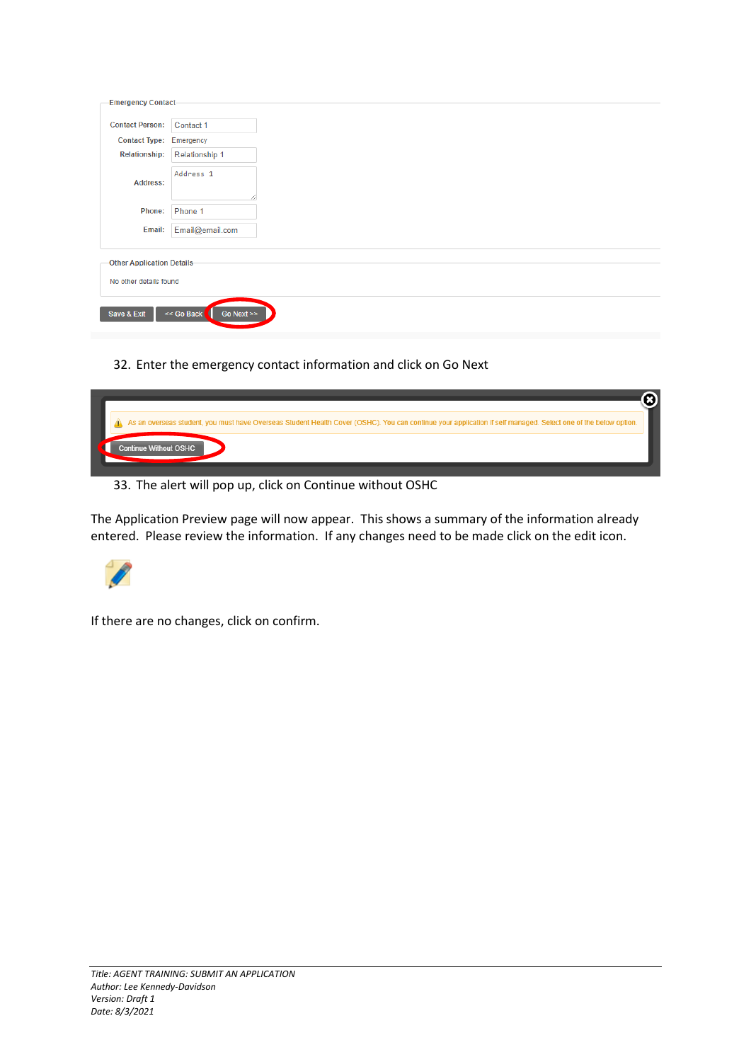| <b>Emergency Contact-</b>                                   |                             |  |
|-------------------------------------------------------------|-----------------------------|--|
| <b>Contact Person:</b>                                      | Contact 1                   |  |
| Contact Type: Emergency                                     |                             |  |
| <b>Relationship:</b>                                        | Relationship 1              |  |
| <b>Address:</b>                                             | Address <sub>1</sub>        |  |
| Phone:                                                      | Phone 1                     |  |
| Email:                                                      | Email@email.com             |  |
| <b>Other Application Details-</b><br>No other details found |                             |  |
| Save & Exit                                                 | << Go Back<br>Go Next $\gg$ |  |

32. Enter the emergency contact information and click on Go Next



33. The alert will pop up, click on Continue without OSHC

The Application Preview page will now appear. This shows a summary of the information already entered. Please review the information. If any changes need to be made click on the edit icon.



If there are no changes, click on confirm.